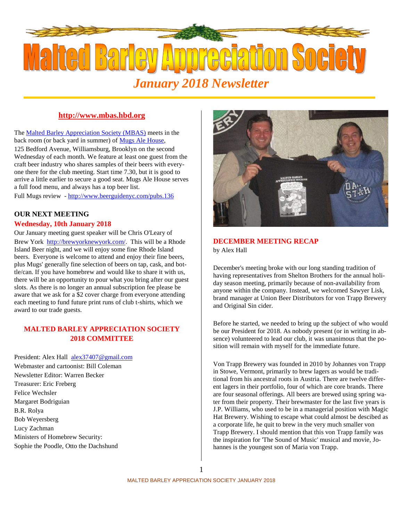

# **http://www.mbas.hbd.org**

The Malted Barley Appreciation Society (MBAS) meets in the back room (or back yard in summer) of Mugs Ale House,

125 Bedford Avenue, Williamsburg, Brooklyn on the second Wednesday of each month. We feature at least one guest from the craft beer industry who shares samples of their beers with everyone there for the club meeting. Start time 7.30, but it is good to arrive a little earlier to secure a good seat. Mugs Ale House serves a full food menu, and always has a top beer list.

Full Mugs review - http://www.beerguidenyc.com/pubs.136

# **OUR NEXT MEETING**

#### **Wednesday, 10th January 2018**

Our January meeting guest speaker will be Chris O'Leary of Brew York http://brewyorknewyork.com/. This will be a Rhode Island Beer night, and we will enjoy some fine Rhode Island beers. Everyone is welcome to attend and enjoy their fine beers, plus Mugs' generally fine selection of beers on tap, cask, and bottle/can. If you have homebrew and would like to share it with us, there will be an opportunity to pour what you bring after our guest slots. As there is no longer an annual subscription fee please be aware that we ask for a \$2 cover charge from everyone attending each meeting to fund future print runs of club t-shirts, which we award to our trade guests.

# **MALTED BARLEY APPRECIATION SOCIETY 2018 COMMITTEE**

President: Alex Hall alex37407@gmail.com Webmaster and cartoonist: Bill Coleman Newsletter Editor: Warren Becker Treasurer: Eric Freberg Felice Wechsler Margaret Bodriguian B.R. Rolya Bob Weyersberg Lucy Zachman Ministers of Homebrew Security: Sophie the Poodle, Otto the Dachshund



## **DECEMBER MEETING RECAP** by Alex Hall

December's meeting broke with our long standing tradition of having representatives from Shelton Brothers for the annual holiday season meeting, primarily because of non-availability from anyone within the company. Instead, we welcomed Sawyer Lisk, brand manager at Union Beer Distributors for von Trapp Brewery and Original Sin cider.

Before he started, we needed to bring up the subject of who would be our President for 2018. As nobody present (or in writing in absence) volunteered to lead our club, it was unanimous that the position will remain with myself for the immediate future.

Von Trapp Brewery was founded in 2010 by Johannes von Trapp in Stowe, Vermont, primarily to brew lagers as would be traditional from his ancestral roots in Austria. There are twelve different lagers in their portfolio, four of which are core brands. There are four seasonal offerings. All beers are brewed using spring water from their property. Their brewmaster for the last five years is J.P. Williams, who used to be in a managerial position with Magic Hat Brewery. Wishing to escape what could almost be descibed as a corporate life, he quit to brew in the very much smaller von Trapp Brewery. I should mention that this von Trapp family was the inspiration for 'The Sound of Music' musical and movie, Johannes is the youngest son of Maria von Trapp.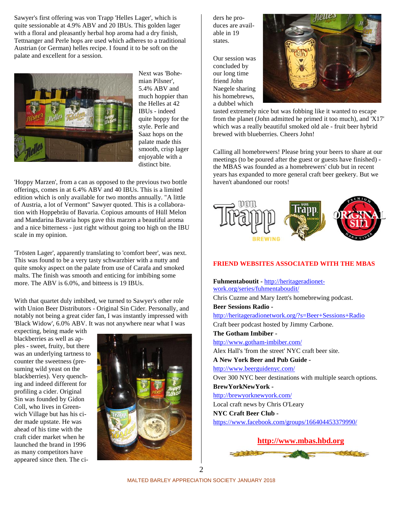Sawyer's first offering was von Trapp 'Helles Lager', which is quite sessionable at 4.9% ABV and 20 IBUs. This golden lager with a floral and pleasantly herbal hop aroma had a dry finish, Tettnanger and Perle hops are used which adheres to a traditional Austrian (or German) helles recipe. I found it to be soft on the palate and excellent for a session.



Next was 'Bohemian Pilsner', 5.4% ABV and much hoppier than the Helles at 42 IBUs - indeed quite hoppy for the style. Perle and Saaz hops on the palate made this smooth, crisp lager enjoyable with a distinct bite.

'Hoppy Marzen', from a can as opposed to the previous two bottle offerings, comes in at 6.4% ABV and 40 IBUs. This is a limited edition which is only available for two months annually. "A little of Austria, a lot of Vermont" Sawyer quoted. This is a collaboration with Hoppebräu of Bavaria. Copious amounts of Hüll Melon and Mandarina Bavaria hops gave this marzen a beautiful aroma and a nice bitterness - just right without going too high on the IBU scale in my opinion.

'Trösten Lager', apparently translating to 'comfort beer', was next. This was found to be a very tasty schwarzbier with a nutty and quite smoky aspect on the palate from use of Carafa and smoked malts. The finish was smooth and enticing for imbibing some more. The ABV is 6.0%, and bitteess is 19 IBUs.

With that quartet duly imbibed, we turned to Sawyer's other role with Union Beer Distributors - Original Sin Cider. Personally, and notably not being a great cider fan, I was instantly impressed with 'Black Widow', 6.0% ABV. It was not anywhere near what I was

expecting, being made with blackberries as well as apples - sweet, fruity, but there was an underlying tartness to counter the sweetness (presuming wild yeast on the blackberries). Very quenching and indeed different for profiling a cider. Original Sin was founded by Gidon Coll, who lives in Greenwich Village but has his cider made upstate. He was ahead of his time with the craft cider market when he launched the brand in 1996 as many competitors have appeared since then. The ci-



ders he produces are available in 19 states.

Our session was concluded by our long time friend John Naegele sharing his homebrews, a dubbel which



tasted extremely nice but was fobbing like it wanted to escape from the planet (John admitted he primed it too much), and 'X17' which was a really beautiful smoked old ale - fruit beer hybrid brewed with blueberries. Cheers John!

Calling all homebrewers! Please bring your beers to share at our meetings (to be poured after the guest or guests have finished) the MBAS was founded as a homebrewers' club but in recent years has expanded to more general craft beer geekery. But we haven't abandoned our roots!



## **FRIEND WEBSITES ASSOCIATED WITH THE MBAS**

**Fuhmentaboutit -** http://heritageradionetwork.org/series/fuhmentaboudit/ Chris Cuzme and Mary Izett's homebrewing podcast. **Beer Sessions Radio**  http://heritageradionetwork.org/?s=Beer+Sessions+Radio Craft beer podcast hosted by Jimmy Carbone. **The Gotham Imbiber**  http://www.gotham-imbiber.com/ Alex Hall's 'from the street' NYC craft beer site. **A New York Beer and Pub Guide**  http://www.beerguidenyc.com/ Over 300 NYC beer destinations with multiple search options. **BrewYorkNewYork**  http://brewyorknewyork.com/ Local craft news by Chris O'Leary **NYC Craft Beer Club**  https://www.facebook.com/groups/166404453379990/



MALTED BARLEY APPRECIATION SOCIETY JANUARY 2018